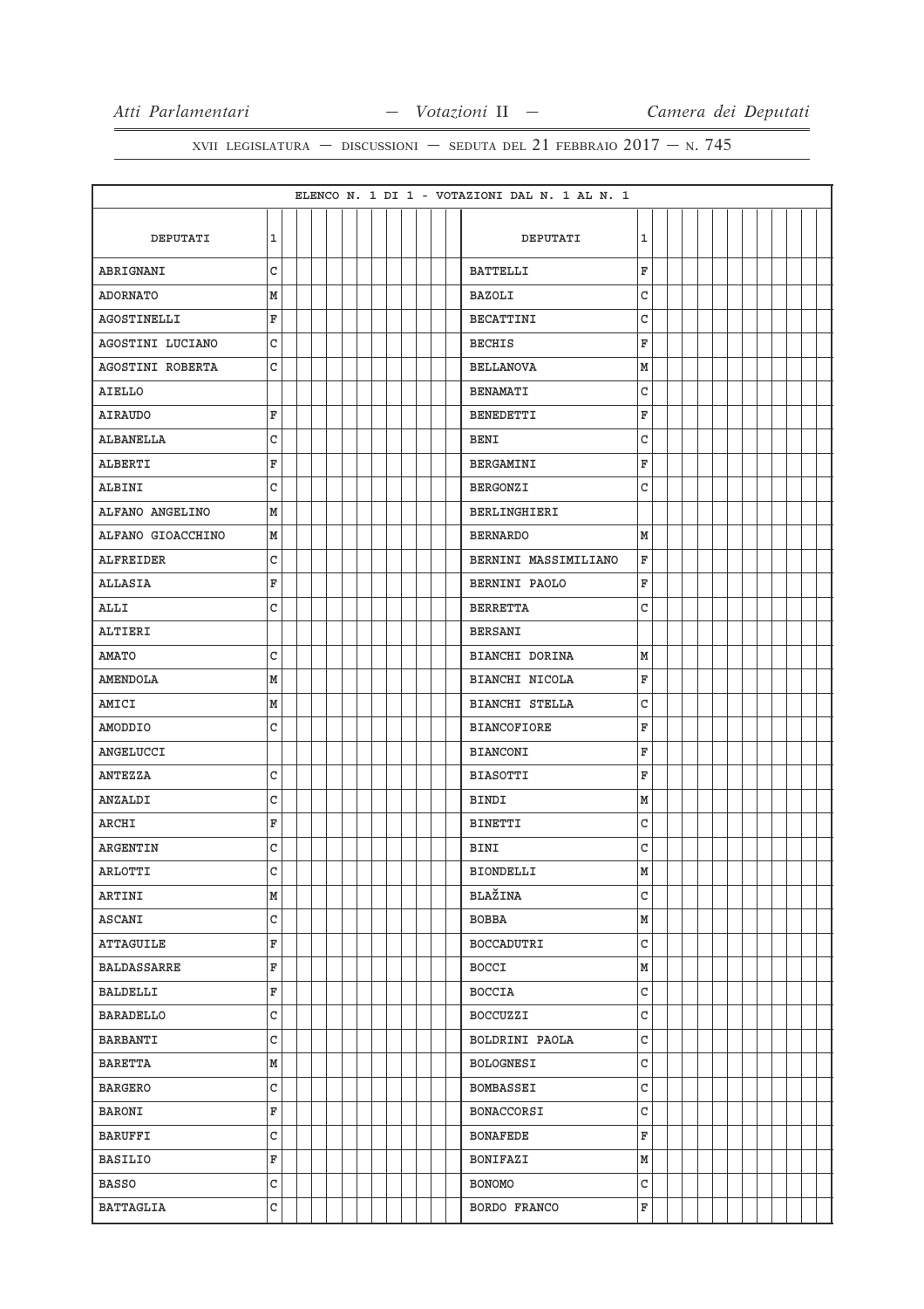|                    |              |  |  |  |  |  | ELENCO N. 1 DI 1 - VOTAZIONI DAL N. 1 AL N. 1 |              |  |  |  |  |  |
|--------------------|--------------|--|--|--|--|--|-----------------------------------------------|--------------|--|--|--|--|--|
|                    |              |  |  |  |  |  |                                               |              |  |  |  |  |  |
| <b>DEPUTATI</b>    | $\mathbf{1}$ |  |  |  |  |  | DEPUTATI                                      | 1            |  |  |  |  |  |
| ABRIGNANI          | C            |  |  |  |  |  | <b>BATTELLI</b>                               | F            |  |  |  |  |  |
| <b>ADORNATO</b>    | M            |  |  |  |  |  | <b>BAZOLI</b>                                 | C            |  |  |  |  |  |
| AGOSTINELLI        | F            |  |  |  |  |  | <b>BECATTINI</b>                              | C            |  |  |  |  |  |
| AGOSTINI LUCIANO   | C            |  |  |  |  |  | <b>BECHIS</b>                                 | F            |  |  |  |  |  |
| AGOSTINI ROBERTA   | C            |  |  |  |  |  | <b>BELLANOVA</b>                              | M            |  |  |  |  |  |
| AIELLO             |              |  |  |  |  |  | <b>BENAMATI</b>                               | C            |  |  |  |  |  |
| <b>AIRAUDO</b>     | F            |  |  |  |  |  | <b>BENEDETTI</b>                              | F            |  |  |  |  |  |
| ALBANELLA          | C            |  |  |  |  |  | <b>BENI</b>                                   | C            |  |  |  |  |  |
| ALBERTI            | F            |  |  |  |  |  | BERGAMINI                                     | F            |  |  |  |  |  |
| ALBINI             | C            |  |  |  |  |  | <b>BERGONZI</b>                               | C            |  |  |  |  |  |
| ALFANO ANGELINO    | М            |  |  |  |  |  | <b>BERLINGHIERI</b>                           |              |  |  |  |  |  |
| ALFANO GIOACCHINO  | М            |  |  |  |  |  | <b>BERNARDO</b>                               | M            |  |  |  |  |  |
| ALFREIDER          | C            |  |  |  |  |  | BERNINI MASSIMILIANO                          | F            |  |  |  |  |  |
| <b>ALLASIA</b>     | F            |  |  |  |  |  | BERNINI PAOLO                                 | F            |  |  |  |  |  |
| ALLI               | C            |  |  |  |  |  | <b>BERRETTA</b>                               | C            |  |  |  |  |  |
| ALTIERI            |              |  |  |  |  |  | BERSANI                                       |              |  |  |  |  |  |
| <b>AMATO</b>       | C            |  |  |  |  |  | BIANCHI DORINA                                | М            |  |  |  |  |  |
| <b>AMENDOLA</b>    | М            |  |  |  |  |  | BIANCHI NICOLA                                | F            |  |  |  |  |  |
| AMICI              | M            |  |  |  |  |  | <b>BIANCHI STELLA</b>                         | C            |  |  |  |  |  |
| AMODDIO            | С            |  |  |  |  |  | <b>BIANCOFIORE</b>                            | F            |  |  |  |  |  |
| ANGELUCCI          |              |  |  |  |  |  | <b>BIANCONI</b>                               | F            |  |  |  |  |  |
| <b>ANTEZZA</b>     | C            |  |  |  |  |  | <b>BIASOTTI</b>                               | F            |  |  |  |  |  |
| ANZALDI            | C            |  |  |  |  |  | BINDI                                         | M            |  |  |  |  |  |
| ARCHI              | F            |  |  |  |  |  | <b>BINETTI</b>                                | $\mathtt{C}$ |  |  |  |  |  |
| <b>ARGENTIN</b>    | C            |  |  |  |  |  | <b>BINI</b>                                   | C            |  |  |  |  |  |
| <b>ARLOTTI</b>     | $\mathsf C$  |  |  |  |  |  | <b>BIONDELLI</b>                              | M            |  |  |  |  |  |
| ARTINI             | М            |  |  |  |  |  | BLAŽINA                                       | C            |  |  |  |  |  |
| <b>ASCANI</b>      | $\mathtt{C}$ |  |  |  |  |  | BOBBA                                         | M            |  |  |  |  |  |
| ATTAGUILE          | F            |  |  |  |  |  | BOCCADUTRI                                    | C            |  |  |  |  |  |
| <b>BALDASSARRE</b> | F            |  |  |  |  |  | BOCCI                                         | M            |  |  |  |  |  |
| BALDELLI           | F            |  |  |  |  |  | <b>BOCCIA</b>                                 | C            |  |  |  |  |  |
| <b>BARADELLO</b>   | $\mathtt{C}$ |  |  |  |  |  | <b>BOCCUZZI</b>                               | $\mathtt{C}$ |  |  |  |  |  |
| BARBANTI           | $\mathtt{C}$ |  |  |  |  |  | BOLDRINI PAOLA                                | $\mathtt{C}$ |  |  |  |  |  |
| <b>BARETTA</b>     | М            |  |  |  |  |  | <b>BOLOGNESI</b>                              | $\mathtt{C}$ |  |  |  |  |  |
| BARGERO            | C            |  |  |  |  |  | <b>BOMBASSEI</b>                              | $\mathtt{C}$ |  |  |  |  |  |
| <b>BARONI</b>      | F            |  |  |  |  |  | BONACCORSI                                    | C            |  |  |  |  |  |
| <b>BARUFFI</b>     | C            |  |  |  |  |  | <b>BONAFEDE</b>                               | $\mathbf F$  |  |  |  |  |  |
| <b>BASILIO</b>     | F            |  |  |  |  |  | BONIFAZI                                      | M            |  |  |  |  |  |
| <b>BASSO</b>       | $\mathtt{C}$ |  |  |  |  |  | <b>BONOMO</b>                                 | $\mathtt{C}$ |  |  |  |  |  |
| <b>BATTAGLIA</b>   | C            |  |  |  |  |  | BORDO FRANCO                                  | F            |  |  |  |  |  |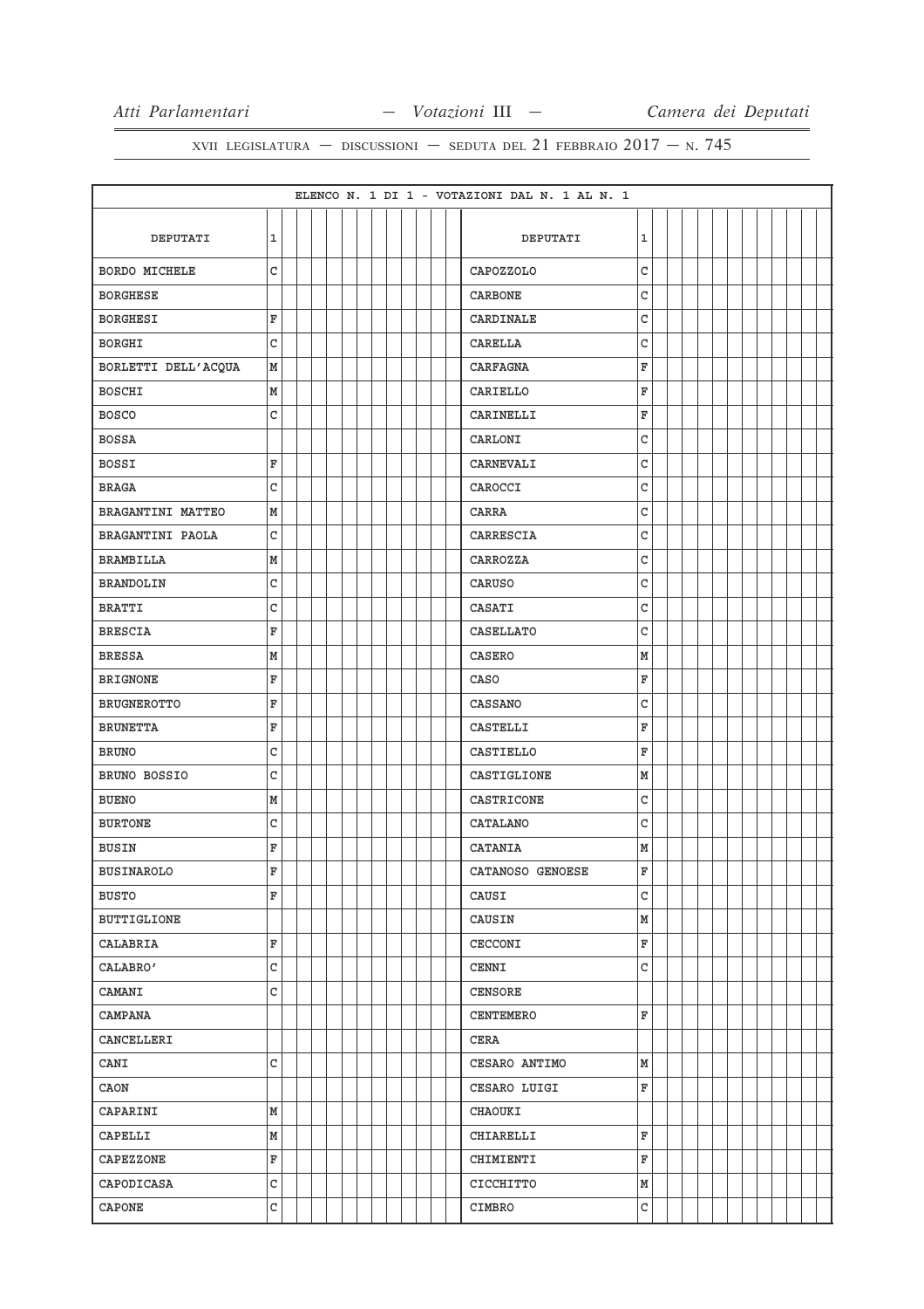|                      |              |  |  |  |  |  | ELENCO N. 1 DI 1 - VOTAZIONI DAL N. 1 AL N. 1 |   |  |  |  |  |  |
|----------------------|--------------|--|--|--|--|--|-----------------------------------------------|---|--|--|--|--|--|
|                      |              |  |  |  |  |  |                                               |   |  |  |  |  |  |
| DEPUTATI             | 1            |  |  |  |  |  | DEPUTATI                                      | 1 |  |  |  |  |  |
| <b>BORDO MICHELE</b> | C            |  |  |  |  |  | CAPOZZOLO                                     | C |  |  |  |  |  |
| <b>BORGHESE</b>      |              |  |  |  |  |  | <b>CARBONE</b>                                | C |  |  |  |  |  |
| <b>BORGHESI</b>      | F            |  |  |  |  |  | CARDINALE                                     | C |  |  |  |  |  |
| BORGHI               | C            |  |  |  |  |  | <b>CARELLA</b>                                | C |  |  |  |  |  |
| BORLETTI DELL'ACQUA  | M            |  |  |  |  |  | <b>CARFAGNA</b>                               | F |  |  |  |  |  |
| <b>BOSCHI</b>        | M            |  |  |  |  |  | CARIELLO                                      | F |  |  |  |  |  |
| <b>BOSCO</b>         | C            |  |  |  |  |  | CARINELLI                                     | F |  |  |  |  |  |
| <b>BOSSA</b>         |              |  |  |  |  |  | CARLONI                                       | C |  |  |  |  |  |
| <b>BOSSI</b>         | F            |  |  |  |  |  | CARNEVALI                                     | C |  |  |  |  |  |
| <b>BRAGA</b>         | $\mathtt{C}$ |  |  |  |  |  | CAROCCI                                       | C |  |  |  |  |  |
| BRAGANTINI MATTEO    | М            |  |  |  |  |  | CARRA                                         | C |  |  |  |  |  |
| BRAGANTINI PAOLA     | C            |  |  |  |  |  | CARRESCIA                                     | C |  |  |  |  |  |
| BRAMBILLA            | M            |  |  |  |  |  | CARROZZA                                      | C |  |  |  |  |  |
| <b>BRANDOLIN</b>     | C            |  |  |  |  |  | <b>CARUSO</b>                                 | C |  |  |  |  |  |
| BRATTI               | C            |  |  |  |  |  | CASATI                                        | C |  |  |  |  |  |
| <b>BRESCIA</b>       | F            |  |  |  |  |  | CASELLATO                                     | C |  |  |  |  |  |
| <b>BRESSA</b>        | M            |  |  |  |  |  | <b>CASERO</b>                                 | M |  |  |  |  |  |
| <b>BRIGNONE</b>      | F            |  |  |  |  |  | CASO                                          | F |  |  |  |  |  |
| <b>BRUGNEROTTO</b>   | F            |  |  |  |  |  | <b>CASSANO</b>                                | C |  |  |  |  |  |
| <b>BRUNETTA</b>      | F            |  |  |  |  |  | CASTELLI                                      | F |  |  |  |  |  |
| <b>BRUNO</b>         | C            |  |  |  |  |  | CASTIELLO                                     | F |  |  |  |  |  |
| BRUNO BOSSIO         | C            |  |  |  |  |  | CASTIGLIONE                                   | M |  |  |  |  |  |
| <b>BUENO</b>         | M            |  |  |  |  |  | CASTRICONE                                    | C |  |  |  |  |  |
| <b>BURTONE</b>       | C            |  |  |  |  |  | CATALANO                                      | C |  |  |  |  |  |
| <b>BUSIN</b>         | F            |  |  |  |  |  | CATANIA                                       | M |  |  |  |  |  |
| <b>BUSINAROLO</b>    | F            |  |  |  |  |  | CATANOSO GENOESE                              | F |  |  |  |  |  |
| <b>BUSTO</b>         | F            |  |  |  |  |  | CAUSI                                         | C |  |  |  |  |  |
| <b>BUTTIGLIONE</b>   |              |  |  |  |  |  | CAUSIN                                        | M |  |  |  |  |  |
| CALABRIA             | F            |  |  |  |  |  | <b>CECCONI</b>                                | F |  |  |  |  |  |
| CALABRO'             | $\mathsf{C}$ |  |  |  |  |  | <b>CENNI</b>                                  | C |  |  |  |  |  |
| CAMANI               | C            |  |  |  |  |  | <b>CENSORE</b>                                |   |  |  |  |  |  |
| <b>CAMPANA</b>       |              |  |  |  |  |  | <b>CENTEMERO</b>                              | F |  |  |  |  |  |
| CANCELLERI           |              |  |  |  |  |  | CERA                                          |   |  |  |  |  |  |
| CANI                 | $\mathtt{C}$ |  |  |  |  |  | CESARO ANTIMO                                 | M |  |  |  |  |  |
| CAON                 |              |  |  |  |  |  | CESARO LUIGI                                  | F |  |  |  |  |  |
| CAPARINI             | M            |  |  |  |  |  | CHAOUKI                                       |   |  |  |  |  |  |
| CAPELLI              | M            |  |  |  |  |  | CHIARELLI                                     | F |  |  |  |  |  |
| <b>CAPEZZONE</b>     | F            |  |  |  |  |  | CHIMIENTI                                     | F |  |  |  |  |  |
| CAPODICASA           | C            |  |  |  |  |  | CICCHITTO                                     | M |  |  |  |  |  |
| CAPONE               | C            |  |  |  |  |  | CIMBRO                                        | C |  |  |  |  |  |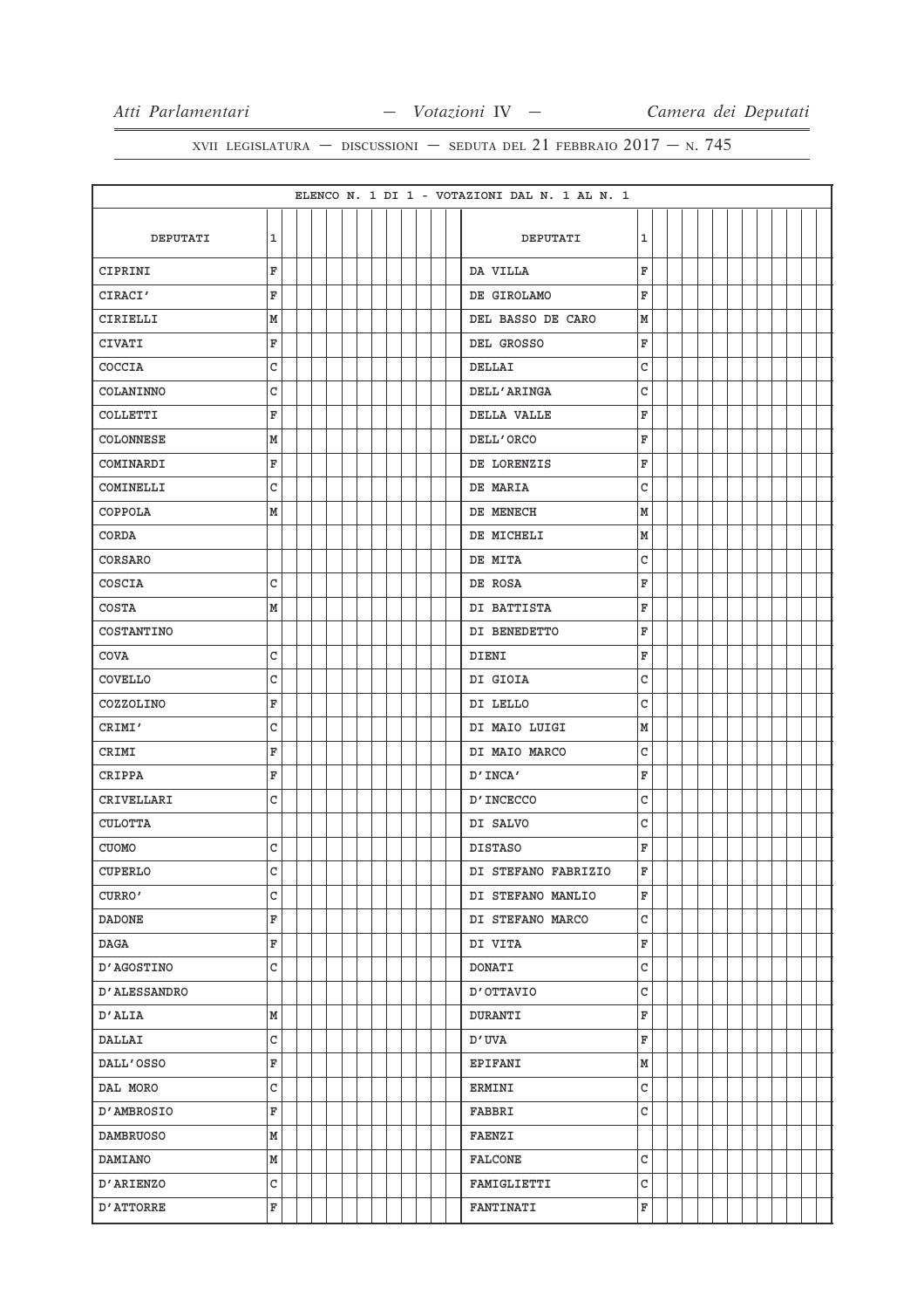|                  |              |  |  |  |  | ELENCO N. 1 DI 1 - VOTAZIONI DAL N. 1 AL N. 1 |   |  |  |  |  |  |
|------------------|--------------|--|--|--|--|-----------------------------------------------|---|--|--|--|--|--|
|                  |              |  |  |  |  |                                               |   |  |  |  |  |  |
| DEPUTATI         | $\mathbf 1$  |  |  |  |  | DEPUTATI                                      | 1 |  |  |  |  |  |
| CIPRINI          | F            |  |  |  |  | DA VILLA                                      | F |  |  |  |  |  |
| CIRACI'          | F            |  |  |  |  | DE GIROLAMO                                   | F |  |  |  |  |  |
| CIRIELLI         | M            |  |  |  |  | DEL BASSO DE CARO                             | М |  |  |  |  |  |
| CIVATI           | F            |  |  |  |  | DEL GROSSO                                    | F |  |  |  |  |  |
| COCCIA           | C            |  |  |  |  | DELLAI                                        | C |  |  |  |  |  |
| COLANINNO        | C            |  |  |  |  | <b>DELL'ARINGA</b>                            | C |  |  |  |  |  |
| COLLETTI         | F            |  |  |  |  | DELLA VALLE                                   | F |  |  |  |  |  |
| COLONNESE        | M            |  |  |  |  | DELL'ORCO                                     | F |  |  |  |  |  |
| COMINARDI        | F            |  |  |  |  | DE LORENZIS                                   | F |  |  |  |  |  |
| COMINELLI        | C            |  |  |  |  | DE MARIA                                      | C |  |  |  |  |  |
| COPPOLA          | М            |  |  |  |  | DE MENECH                                     | М |  |  |  |  |  |
| CORDA            |              |  |  |  |  | DE MICHELI                                    | M |  |  |  |  |  |
| CORSARO          |              |  |  |  |  | DE MITA                                       | C |  |  |  |  |  |
| COSCIA           | С            |  |  |  |  | DE ROSA                                       | F |  |  |  |  |  |
| <b>COSTA</b>     | M            |  |  |  |  | DI BATTISTA                                   | F |  |  |  |  |  |
| COSTANTINO       |              |  |  |  |  | DI BENEDETTO                                  | F |  |  |  |  |  |
| COVA             | C            |  |  |  |  | DIENI                                         | F |  |  |  |  |  |
| COVELLO          | C            |  |  |  |  | DI GIOIA                                      | C |  |  |  |  |  |
| COZZOLINO        | F            |  |  |  |  | DI LELLO                                      | C |  |  |  |  |  |
| CRIMI'           | C            |  |  |  |  | DI MAIO LUIGI                                 | M |  |  |  |  |  |
| CRIMI            | F            |  |  |  |  | DI MAIO MARCO                                 | C |  |  |  |  |  |
| CRIPPA           | F            |  |  |  |  | D'INCA'                                       | F |  |  |  |  |  |
| CRIVELLARI       | C            |  |  |  |  | D'INCECCO                                     | C |  |  |  |  |  |
| <b>CULOTTA</b>   |              |  |  |  |  | DI SALVO                                      | C |  |  |  |  |  |
| <b>CUOMO</b>     | C            |  |  |  |  | <b>DISTASO</b>                                | F |  |  |  |  |  |
| <b>CUPERLO</b>   | C            |  |  |  |  | DI STEFANO FABRIZIO                           | F |  |  |  |  |  |
| CURRO'           | C            |  |  |  |  | DI STEFANO MANLIO                             | F |  |  |  |  |  |
| <b>DADONE</b>    | F            |  |  |  |  | DI STEFANO MARCO                              | C |  |  |  |  |  |
| DAGA             | F            |  |  |  |  | DI VITA                                       | F |  |  |  |  |  |
| D'AGOSTINO       | $\mathtt{C}$ |  |  |  |  | <b>DONATI</b>                                 | C |  |  |  |  |  |
| D'ALESSANDRO     |              |  |  |  |  | <b>D'OTTAVIO</b>                              | C |  |  |  |  |  |
| D'ALIA           | M            |  |  |  |  | <b>DURANTI</b>                                | F |  |  |  |  |  |
| DALLAI           | $\mathsf C$  |  |  |  |  | D'UVA                                         | F |  |  |  |  |  |
| DALL'OSSO        | F            |  |  |  |  | EPIFANI                                       | M |  |  |  |  |  |
| DAL MORO         | C            |  |  |  |  | <b>ERMINI</b>                                 | C |  |  |  |  |  |
| D'AMBROSIO       | F            |  |  |  |  | <b>FABBRI</b>                                 | C |  |  |  |  |  |
| <b>DAMBRUOSO</b> | М            |  |  |  |  | <b>FAENZI</b>                                 |   |  |  |  |  |  |
| <b>DAMIANO</b>   | M            |  |  |  |  | <b>FALCONE</b>                                | C |  |  |  |  |  |
| D'ARIENZO        | C            |  |  |  |  | FAMIGLIETTI                                   | C |  |  |  |  |  |
| <b>D'ATTORRE</b> | F            |  |  |  |  | <b>FANTINATI</b>                              | F |  |  |  |  |  |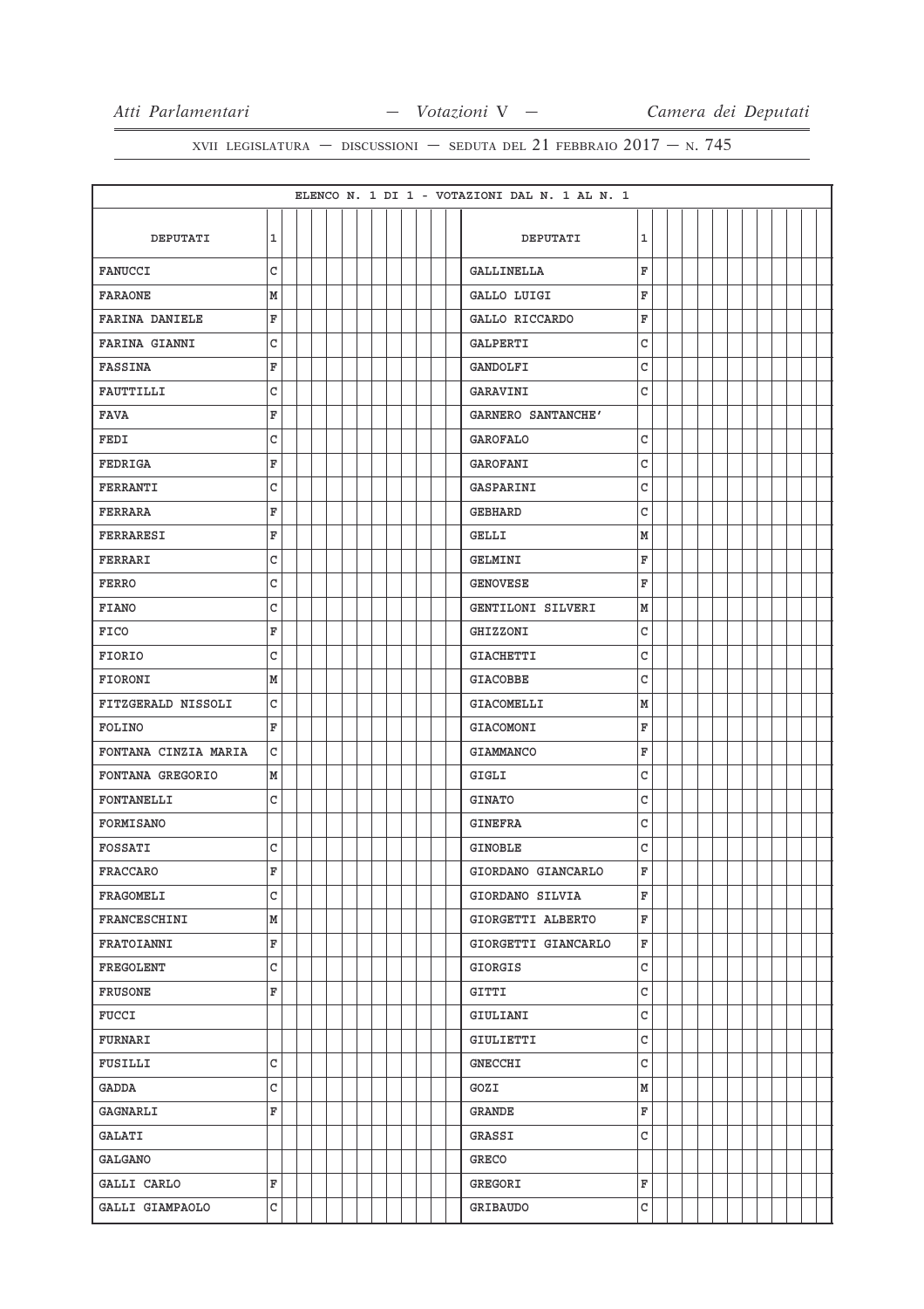|                       |              |  |  |  |  |  | ELENCO N. 1 DI 1 - VOTAZIONI DAL N. 1 AL N. 1 |   |  |  |  |  |  |
|-----------------------|--------------|--|--|--|--|--|-----------------------------------------------|---|--|--|--|--|--|
|                       |              |  |  |  |  |  |                                               |   |  |  |  |  |  |
| DEPUTATI              | $\mathbf 1$  |  |  |  |  |  | DEPUTATI                                      | 1 |  |  |  |  |  |
| <b>FANUCCI</b>        | C            |  |  |  |  |  | <b>GALLINELLA</b>                             | F |  |  |  |  |  |
| <b>FARAONE</b>        | М            |  |  |  |  |  | GALLO LUIGI                                   | F |  |  |  |  |  |
| <b>FARINA DANIELE</b> | F            |  |  |  |  |  | GALLO RICCARDO                                | F |  |  |  |  |  |
| <b>FARINA GIANNI</b>  | C            |  |  |  |  |  | GALPERTI                                      | C |  |  |  |  |  |
| <b>FASSINA</b>        | F            |  |  |  |  |  | GANDOLFI                                      | C |  |  |  |  |  |
| FAUTTILLI             | C            |  |  |  |  |  | GARAVINI                                      | C |  |  |  |  |  |
| <b>FAVA</b>           | F            |  |  |  |  |  | GARNERO SANTANCHE'                            |   |  |  |  |  |  |
| FEDI                  | $\mathsf{C}$ |  |  |  |  |  | <b>GAROFALO</b>                               | C |  |  |  |  |  |
| FEDRIGA               | F            |  |  |  |  |  | GAROFANI                                      | C |  |  |  |  |  |
| FERRANTI              | C            |  |  |  |  |  | GASPARINI                                     | C |  |  |  |  |  |
| FERRARA               | F            |  |  |  |  |  | GEBHARD                                       | C |  |  |  |  |  |
| FERRARESI             | F            |  |  |  |  |  | <b>GELLI</b>                                  | М |  |  |  |  |  |
| FERRARI               | C            |  |  |  |  |  | GELMINI                                       | F |  |  |  |  |  |
| FERRO                 | C            |  |  |  |  |  | <b>GENOVESE</b>                               | F |  |  |  |  |  |
| <b>FIANO</b>          | C            |  |  |  |  |  | GENTILONI SILVERI                             | М |  |  |  |  |  |
| <b>FICO</b>           | F            |  |  |  |  |  | GHIZZONI                                      | С |  |  |  |  |  |
| FIORIO                | C            |  |  |  |  |  | <b>GIACHETTI</b>                              | C |  |  |  |  |  |
| <b>FIORONI</b>        | М            |  |  |  |  |  | <b>GIACOBBE</b>                               | C |  |  |  |  |  |
| FITZGERALD NISSOLI    | C            |  |  |  |  |  | GIACOMELLI                                    | M |  |  |  |  |  |
| FOLINO                | F            |  |  |  |  |  | GIACOMONI                                     | F |  |  |  |  |  |
| FONTANA CINZIA MARIA  | C            |  |  |  |  |  | <b>GIAMMANCO</b>                              | F |  |  |  |  |  |
| FONTANA GREGORIO      | М            |  |  |  |  |  | GIGLI                                         | C |  |  |  |  |  |
| FONTANELLI            | C            |  |  |  |  |  | <b>GINATO</b>                                 | C |  |  |  |  |  |
| FORMISANO             |              |  |  |  |  |  | GINEFRA                                       | C |  |  |  |  |  |
| FOSSATI               | C            |  |  |  |  |  | GINOBLE                                       | C |  |  |  |  |  |
| <b>FRACCARO</b>       | F            |  |  |  |  |  | GIORDANO GIANCARLO                            | F |  |  |  |  |  |
| <b>FRAGOMELI</b>      | $\mathtt{C}$ |  |  |  |  |  | GIORDANO SILVIA                               | F |  |  |  |  |  |
| FRANCESCHINI          | M            |  |  |  |  |  | GIORGETTI ALBERTO                             | F |  |  |  |  |  |
| FRATOIANNI            | F            |  |  |  |  |  | GIORGETTI GIANCARLO                           | F |  |  |  |  |  |
| FREGOLENT             | $\mathtt{C}$ |  |  |  |  |  | GIORGIS                                       | C |  |  |  |  |  |
| <b>FRUSONE</b>        | F            |  |  |  |  |  | GITTI                                         | C |  |  |  |  |  |
| FUCCI                 |              |  |  |  |  |  | GIULIANI                                      | C |  |  |  |  |  |
| FURNARI               |              |  |  |  |  |  | GIULIETTI                                     | C |  |  |  |  |  |
| FUSILLI               | $\mathtt{C}$ |  |  |  |  |  | <b>GNECCHI</b>                                | C |  |  |  |  |  |
| GADDA                 | $\mathtt{C}$ |  |  |  |  |  | GOZI                                          | М |  |  |  |  |  |
| GAGNARLI              | F            |  |  |  |  |  | GRANDE                                        | F |  |  |  |  |  |
| <b>GALATI</b>         |              |  |  |  |  |  | GRASSI                                        | C |  |  |  |  |  |
| GALGANO               |              |  |  |  |  |  | GRECO                                         |   |  |  |  |  |  |
| GALLI CARLO           | F            |  |  |  |  |  | GREGORI                                       | F |  |  |  |  |  |
| GALLI GIAMPAOLO       | $\mathtt{C}$ |  |  |  |  |  | GRIBAUDO                                      | C |  |  |  |  |  |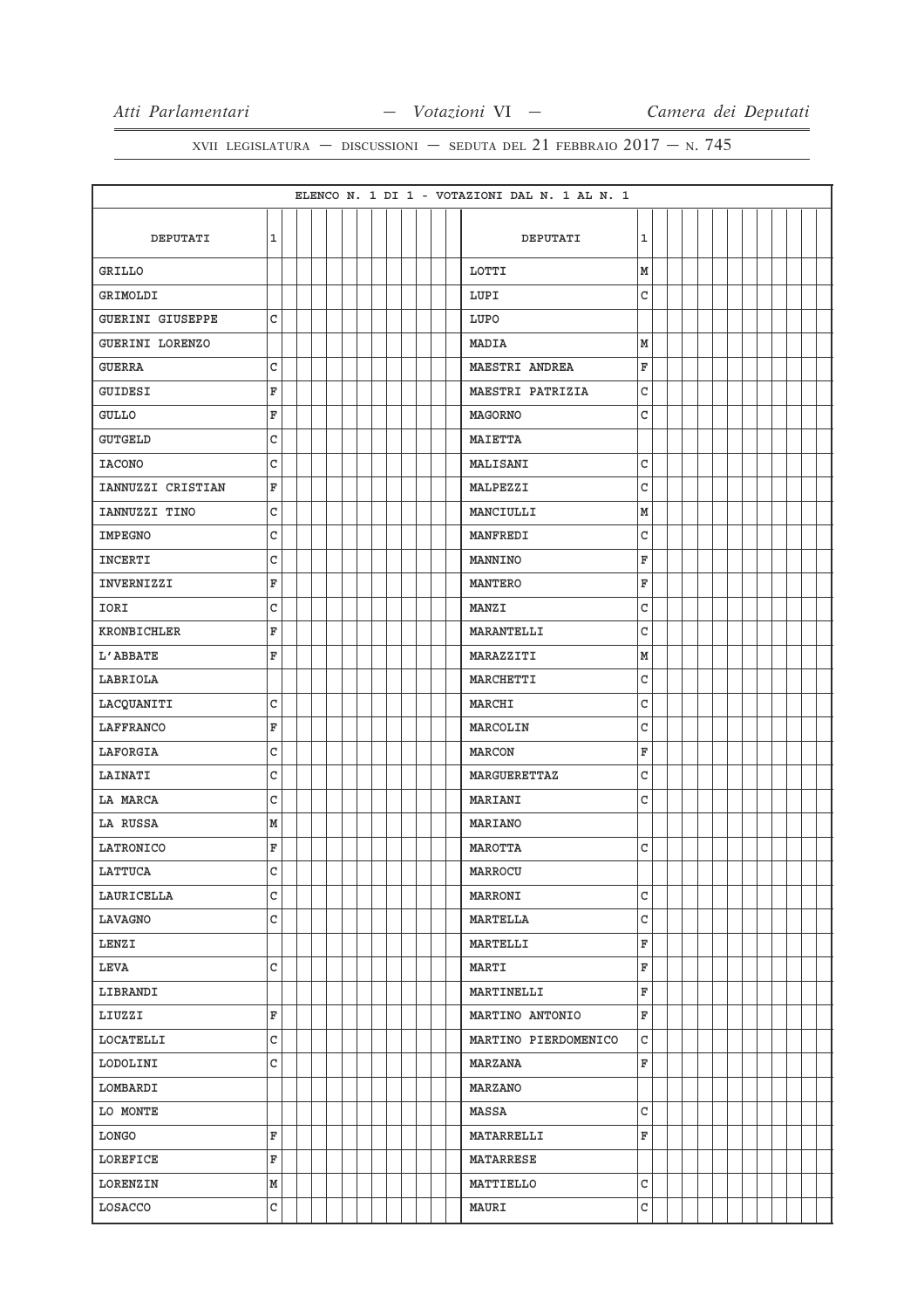|                         |              |  |  |  |  |  | ELENCO N. 1 DI 1 - VOTAZIONI DAL N. 1 AL N. 1 |   |  |  |  |  |  |
|-------------------------|--------------|--|--|--|--|--|-----------------------------------------------|---|--|--|--|--|--|
|                         |              |  |  |  |  |  |                                               |   |  |  |  |  |  |
| DEPUTATI                | $\mathbf 1$  |  |  |  |  |  | DEPUTATI                                      | 1 |  |  |  |  |  |
| GRILLO                  |              |  |  |  |  |  | LOTTI                                         | M |  |  |  |  |  |
| GRIMOLDI                |              |  |  |  |  |  | LUPI                                          | C |  |  |  |  |  |
| <b>GUERINI GIUSEPPE</b> | C            |  |  |  |  |  | LUPO                                          |   |  |  |  |  |  |
| GUERINI LORENZO         |              |  |  |  |  |  | MADIA                                         | M |  |  |  |  |  |
| <b>GUERRA</b>           | C            |  |  |  |  |  | MAESTRI ANDREA                                | F |  |  |  |  |  |
| <b>GUIDESI</b>          | F            |  |  |  |  |  | MAESTRI PATRIZIA                              | C |  |  |  |  |  |
| <b>GULLO</b>            | $\mathbf F$  |  |  |  |  |  | <b>MAGORNO</b>                                | C |  |  |  |  |  |
| <b>GUTGELD</b>          | $\mathbf{C}$ |  |  |  |  |  | <b>MAIETTA</b>                                |   |  |  |  |  |  |
| <b>IACONO</b>           | C            |  |  |  |  |  | MALISANI                                      | C |  |  |  |  |  |
| IANNUZZI CRISTIAN       | F            |  |  |  |  |  | MALPEZZI                                      | C |  |  |  |  |  |
| IANNUZZI TINO           | C            |  |  |  |  |  | MANCIULLI                                     | М |  |  |  |  |  |
| <b>IMPEGNO</b>          | C            |  |  |  |  |  | <b>MANFREDI</b>                               | C |  |  |  |  |  |
| <b>INCERTI</b>          | C            |  |  |  |  |  | MANNINO                                       | F |  |  |  |  |  |
| INVERNIZZI              | F            |  |  |  |  |  | <b>MANTERO</b>                                | F |  |  |  |  |  |
| IORI                    | C            |  |  |  |  |  | <b>MANZI</b>                                  | C |  |  |  |  |  |
| <b>KRONBICHLER</b>      | F            |  |  |  |  |  | <b>MARANTELLI</b>                             | C |  |  |  |  |  |
| L'ABBATE                | F            |  |  |  |  |  | MARAZZITI                                     | M |  |  |  |  |  |
| LABRIOLA                |              |  |  |  |  |  | MARCHETTI                                     | C |  |  |  |  |  |
| LACQUANITI              | C            |  |  |  |  |  | MARCHI                                        | C |  |  |  |  |  |
| LAFFRANCO               | F            |  |  |  |  |  | MARCOLIN                                      | C |  |  |  |  |  |
| LAFORGIA                | $\mathbf{C}$ |  |  |  |  |  | MARCON                                        | F |  |  |  |  |  |
| LAINATI                 | $\mathtt{C}$ |  |  |  |  |  | MARGUERETTAZ                                  | C |  |  |  |  |  |
| LA MARCA                | C            |  |  |  |  |  | MARIANI                                       | C |  |  |  |  |  |
| LA RUSSA                | M            |  |  |  |  |  | MARIANO                                       |   |  |  |  |  |  |
| LATRONICO               | F            |  |  |  |  |  | MAROTTA                                       | C |  |  |  |  |  |
| LATTUCA                 | C            |  |  |  |  |  | MARROCU                                       |   |  |  |  |  |  |
| LAURICELLA              | C            |  |  |  |  |  | <b>MARRONI</b>                                | C |  |  |  |  |  |
| LAVAGNO                 | $\rm{c}$     |  |  |  |  |  | MARTELLA                                      | C |  |  |  |  |  |
| LENZI                   |              |  |  |  |  |  | MARTELLI                                      | F |  |  |  |  |  |
| <b>LEVA</b>             | C            |  |  |  |  |  | MARTI                                         | F |  |  |  |  |  |
| LIBRANDI                |              |  |  |  |  |  | MARTINELLI                                    | F |  |  |  |  |  |
| LIUZZI                  | F            |  |  |  |  |  | MARTINO ANTONIO                               | F |  |  |  |  |  |
| LOCATELLI               | C            |  |  |  |  |  | MARTINO PIERDOMENICO                          | C |  |  |  |  |  |
| LODOLINI                | $\rm{C}$     |  |  |  |  |  | MARZANA                                       | F |  |  |  |  |  |
| LOMBARDI                |              |  |  |  |  |  | <b>MARZANO</b>                                |   |  |  |  |  |  |
| LO MONTE                |              |  |  |  |  |  | MASSA                                         | C |  |  |  |  |  |
| LONGO                   | F            |  |  |  |  |  | <b>MATARRELLI</b>                             | F |  |  |  |  |  |
| LOREFICE                | F            |  |  |  |  |  | <b>MATARRESE</b>                              |   |  |  |  |  |  |
| LORENZIN                | M            |  |  |  |  |  | MATTIELLO                                     | C |  |  |  |  |  |
| LOSACCO                 | C            |  |  |  |  |  | <b>MAURI</b>                                  | C |  |  |  |  |  |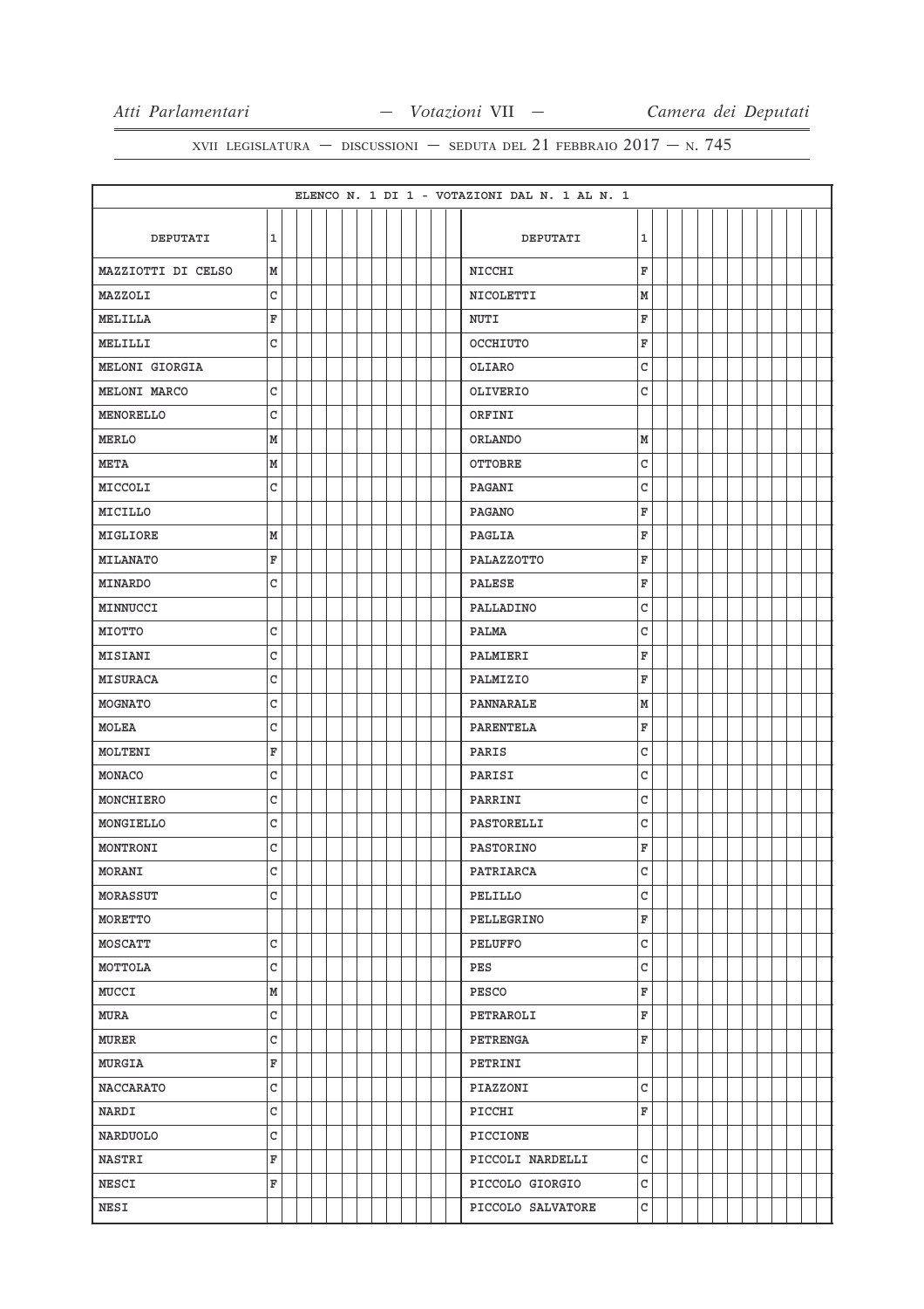|                    |                         |  |  |  |  |  | ELENCO N. 1 DI 1 - VOTAZIONI DAL N. 1 AL N. 1 |              |  |  |  |  |  |
|--------------------|-------------------------|--|--|--|--|--|-----------------------------------------------|--------------|--|--|--|--|--|
|                    |                         |  |  |  |  |  |                                               |              |  |  |  |  |  |
| DEPUTATI           | $\mathbf 1$             |  |  |  |  |  | DEPUTATI                                      | $\mathbf{1}$ |  |  |  |  |  |
| MAZZIOTTI DI CELSO | М                       |  |  |  |  |  | <b>NICCHI</b>                                 | F            |  |  |  |  |  |
| MAZZOLI            | C                       |  |  |  |  |  | NICOLETTI                                     | М            |  |  |  |  |  |
| MELILLA            | F                       |  |  |  |  |  | <b>NUTI</b>                                   | F            |  |  |  |  |  |
| MELILLI            | C                       |  |  |  |  |  | OCCHIUTO                                      | F            |  |  |  |  |  |
| MELONI GIORGIA     |                         |  |  |  |  |  | OLIARO                                        | C            |  |  |  |  |  |
| MELONI MARCO       | C                       |  |  |  |  |  | OLIVERIO                                      | C            |  |  |  |  |  |
| MENORELLO          | $\mathsf{C}$            |  |  |  |  |  | ORFINI                                        |              |  |  |  |  |  |
| <b>MERLO</b>       | M                       |  |  |  |  |  | <b>ORLANDO</b>                                | М            |  |  |  |  |  |
| <b>META</b>        | M                       |  |  |  |  |  | OTTOBRE                                       | C            |  |  |  |  |  |
| MICCOLI            | C                       |  |  |  |  |  | PAGANI                                        | C            |  |  |  |  |  |
| MICILLO            |                         |  |  |  |  |  | <b>PAGANO</b>                                 | F            |  |  |  |  |  |
| MIGLIORE           | M                       |  |  |  |  |  | PAGLIA                                        | F            |  |  |  |  |  |
| MILANATO           | $\mathbf F$             |  |  |  |  |  | PALAZZOTTO                                    | F            |  |  |  |  |  |
| MINARDO            | C                       |  |  |  |  |  | <b>PALESE</b>                                 | F            |  |  |  |  |  |
| MINNUCCI           |                         |  |  |  |  |  | PALLADINO                                     | C            |  |  |  |  |  |
| MIOTTO             | C                       |  |  |  |  |  | PALMA                                         | C            |  |  |  |  |  |
| <b>MISIANI</b>     | C                       |  |  |  |  |  | PALMIERI                                      | F            |  |  |  |  |  |
| <b>MISURACA</b>    | C                       |  |  |  |  |  | PALMIZIO                                      | F            |  |  |  |  |  |
| MOGNATO            | C                       |  |  |  |  |  | PANNARALE                                     | M            |  |  |  |  |  |
| MOLEA              | $\mathsf{C}$            |  |  |  |  |  | <b>PARENTELA</b>                              | F            |  |  |  |  |  |
| MOLTENI            | F                       |  |  |  |  |  | PARIS                                         | C            |  |  |  |  |  |
| MONACO             | C                       |  |  |  |  |  | PARISI                                        | C            |  |  |  |  |  |
| MONCHIERO          | C                       |  |  |  |  |  | PARRINI                                       | C            |  |  |  |  |  |
| MONGIELLO          | C                       |  |  |  |  |  | PASTORELLI                                    | C            |  |  |  |  |  |
| MONTRONI           | C                       |  |  |  |  |  | PASTORINO                                     | F            |  |  |  |  |  |
| MORANI             | C                       |  |  |  |  |  | PATRIARCA                                     | C            |  |  |  |  |  |
| MORASSUT           | C                       |  |  |  |  |  | PELILLO                                       | C            |  |  |  |  |  |
| MORETTO            |                         |  |  |  |  |  | PELLEGRINO                                    | F            |  |  |  |  |  |
| MOSCATT            | C                       |  |  |  |  |  | PELUFFO                                       | C            |  |  |  |  |  |
| MOTTOLA            | $\mathtt{C}$            |  |  |  |  |  | PES                                           | C            |  |  |  |  |  |
| MUCCI              | M                       |  |  |  |  |  | PESCO                                         | F            |  |  |  |  |  |
| MURA               | C                       |  |  |  |  |  | PETRAROLI                                     | F            |  |  |  |  |  |
| <b>MURER</b>       | $\rm{C}$                |  |  |  |  |  | PETRENGA                                      | F            |  |  |  |  |  |
| <b>MURGIA</b>      | $\overline{\mathbf{F}}$ |  |  |  |  |  | PETRINI                                       |              |  |  |  |  |  |
| <b>NACCARATO</b>   | $\mathtt{C}$            |  |  |  |  |  | PIAZZONI                                      | C            |  |  |  |  |  |
| NARDI              | $\mathsf C$             |  |  |  |  |  | PICCHI                                        | F            |  |  |  |  |  |
| NARDUOLO           | $\mathtt{C}$            |  |  |  |  |  | PICCIONE                                      |              |  |  |  |  |  |
| <b>NASTRI</b>      | F                       |  |  |  |  |  | PICCOLI NARDELLI                              | C            |  |  |  |  |  |
| NESCI              | F                       |  |  |  |  |  | PICCOLO GIORGIO                               | C            |  |  |  |  |  |
| <b>NESI</b>        |                         |  |  |  |  |  | PICCOLO SALVATORE                             | C            |  |  |  |  |  |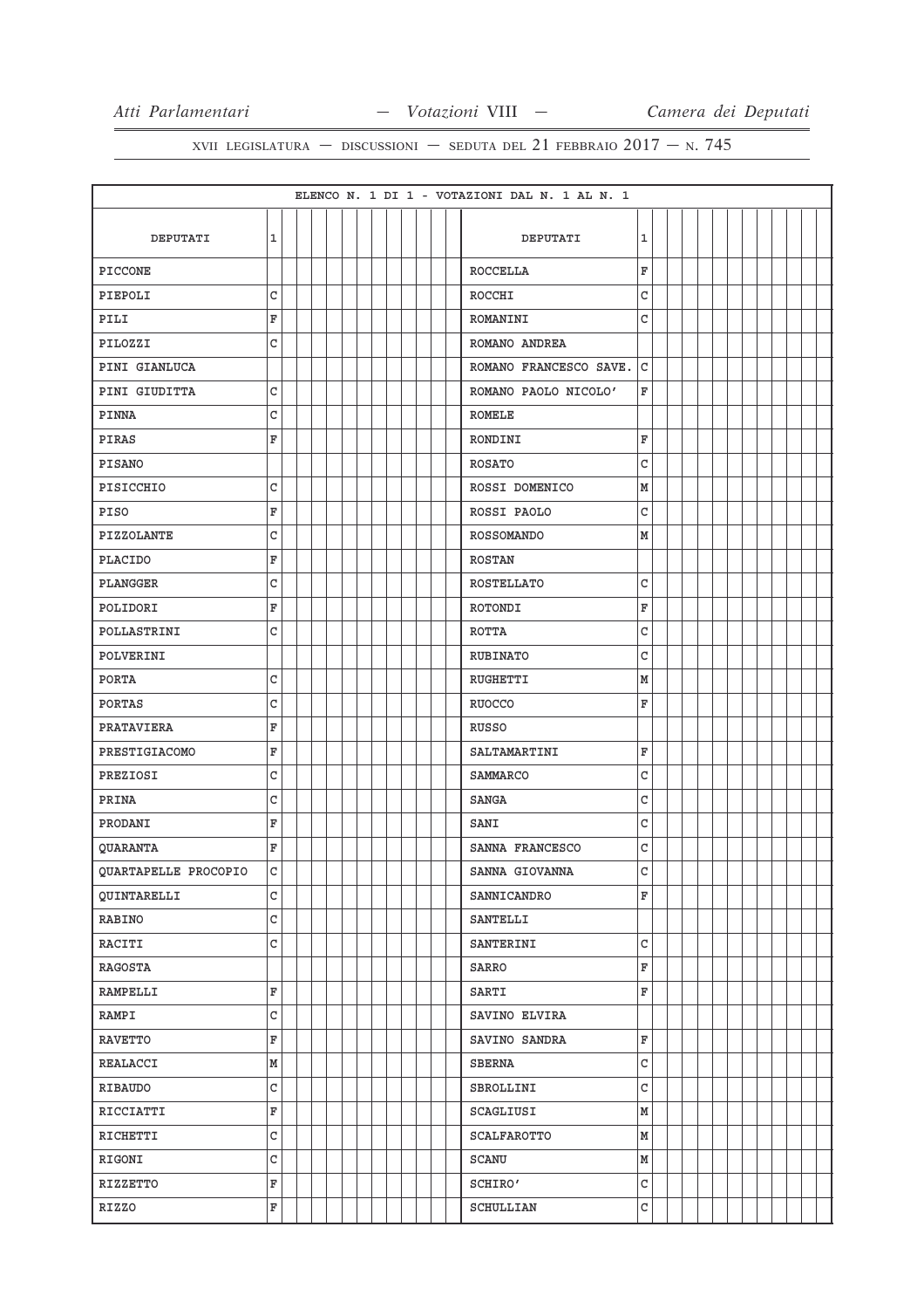|                      |              |  |  |  |  |  |  | ELENCO N. 1 DI 1 - VOTAZIONI DAL N. 1 AL N. 1 |   |  |  |  |  |  |
|----------------------|--------------|--|--|--|--|--|--|-----------------------------------------------|---|--|--|--|--|--|
| DEPUTATI             | $\mathbf 1$  |  |  |  |  |  |  | DEPUTATI                                      | 1 |  |  |  |  |  |
| <b>PICCONE</b>       |              |  |  |  |  |  |  | <b>ROCCELLA</b>                               | F |  |  |  |  |  |
| PIEPOLI              | C            |  |  |  |  |  |  | ROCCHI                                        | C |  |  |  |  |  |
| PILI                 | F            |  |  |  |  |  |  | ROMANINI                                      | C |  |  |  |  |  |
| PILOZZI              | C            |  |  |  |  |  |  | ROMANO ANDREA                                 |   |  |  |  |  |  |
| PINI GIANLUCA        |              |  |  |  |  |  |  | ROMANO FRANCESCO SAVE.                        | C |  |  |  |  |  |
| PINI GIUDITTA        | C            |  |  |  |  |  |  | ROMANO PAOLO NICOLO'                          | F |  |  |  |  |  |
| PINNA                | C            |  |  |  |  |  |  | <b>ROMELE</b>                                 |   |  |  |  |  |  |
| PIRAS                | F            |  |  |  |  |  |  | RONDINI                                       | F |  |  |  |  |  |
| <b>PISANO</b>        |              |  |  |  |  |  |  | <b>ROSATO</b>                                 | C |  |  |  |  |  |
| PISICCHIO            | C            |  |  |  |  |  |  | ROSSI DOMENICO                                | M |  |  |  |  |  |
| PISO                 | F            |  |  |  |  |  |  | ROSSI PAOLO                                   | C |  |  |  |  |  |
| PIZZOLANTE           | C            |  |  |  |  |  |  | <b>ROSSOMANDO</b>                             | M |  |  |  |  |  |
| <b>PLACIDO</b>       | F            |  |  |  |  |  |  | <b>ROSTAN</b>                                 |   |  |  |  |  |  |
|                      |              |  |  |  |  |  |  |                                               |   |  |  |  |  |  |
| PLANGGER             | C            |  |  |  |  |  |  | <b>ROSTELLATO</b>                             | C |  |  |  |  |  |
| POLIDORI             | F            |  |  |  |  |  |  | ROTONDI                                       | F |  |  |  |  |  |
| POLLASTRINI          | С            |  |  |  |  |  |  | <b>ROTTA</b>                                  | C |  |  |  |  |  |
| POLVERINI            |              |  |  |  |  |  |  | <b>RUBINATO</b>                               | C |  |  |  |  |  |
| PORTA                | C            |  |  |  |  |  |  | RUGHETTI                                      | M |  |  |  |  |  |
| PORTAS               | С            |  |  |  |  |  |  | <b>RUOCCO</b>                                 | F |  |  |  |  |  |
| PRATAVIERA           | F            |  |  |  |  |  |  | RUSSO                                         |   |  |  |  |  |  |
| PRESTIGIACOMO        | F            |  |  |  |  |  |  | SALTAMARTINI                                  | F |  |  |  |  |  |
| PREZIOSI             | C            |  |  |  |  |  |  | SAMMARCO                                      | C |  |  |  |  |  |
| PRINA                | C            |  |  |  |  |  |  | <b>SANGA</b>                                  | C |  |  |  |  |  |
| PRODANI              | F            |  |  |  |  |  |  | SANI                                          | C |  |  |  |  |  |
| QUARANTA             | F            |  |  |  |  |  |  | SANNA FRANCESCO                               | C |  |  |  |  |  |
| QUARTAPELLE PROCOPIO | $\mathsf C$  |  |  |  |  |  |  | SANNA GIOVANNA                                | C |  |  |  |  |  |
| QUINTARELLI          | C            |  |  |  |  |  |  | SANNICANDRO                                   | F |  |  |  |  |  |
| RABINO               | $\mathsf{C}$ |  |  |  |  |  |  | SANTELLI                                      |   |  |  |  |  |  |
| RACITI               | $\mathsf{C}$ |  |  |  |  |  |  | SANTERINI                                     | C |  |  |  |  |  |
| RAGOSTA              |              |  |  |  |  |  |  | SARRO                                         | F |  |  |  |  |  |
| RAMPELLI             | F            |  |  |  |  |  |  | SARTI                                         | F |  |  |  |  |  |
| RAMPI                | $\mathtt{C}$ |  |  |  |  |  |  | SAVINO ELVIRA                                 |   |  |  |  |  |  |
| <b>RAVETTO</b>       | F            |  |  |  |  |  |  | SAVINO SANDRA                                 | F |  |  |  |  |  |
| REALACCI             | M            |  |  |  |  |  |  | <b>SBERNA</b>                                 | C |  |  |  |  |  |
| <b>RIBAUDO</b>       | C            |  |  |  |  |  |  | SBROLLINI                                     | C |  |  |  |  |  |
| RICCIATTI            | F            |  |  |  |  |  |  | SCAGLIUSI                                     | M |  |  |  |  |  |
| RICHETTI             | C            |  |  |  |  |  |  | <b>SCALFAROTTO</b>                            | M |  |  |  |  |  |
| RIGONI               | C            |  |  |  |  |  |  | SCANU                                         | M |  |  |  |  |  |
| RIZZETTO             | F            |  |  |  |  |  |  | SCHIRO'                                       | C |  |  |  |  |  |
| <b>RIZZO</b>         | F            |  |  |  |  |  |  | SCHULLIAN                                     | C |  |  |  |  |  |